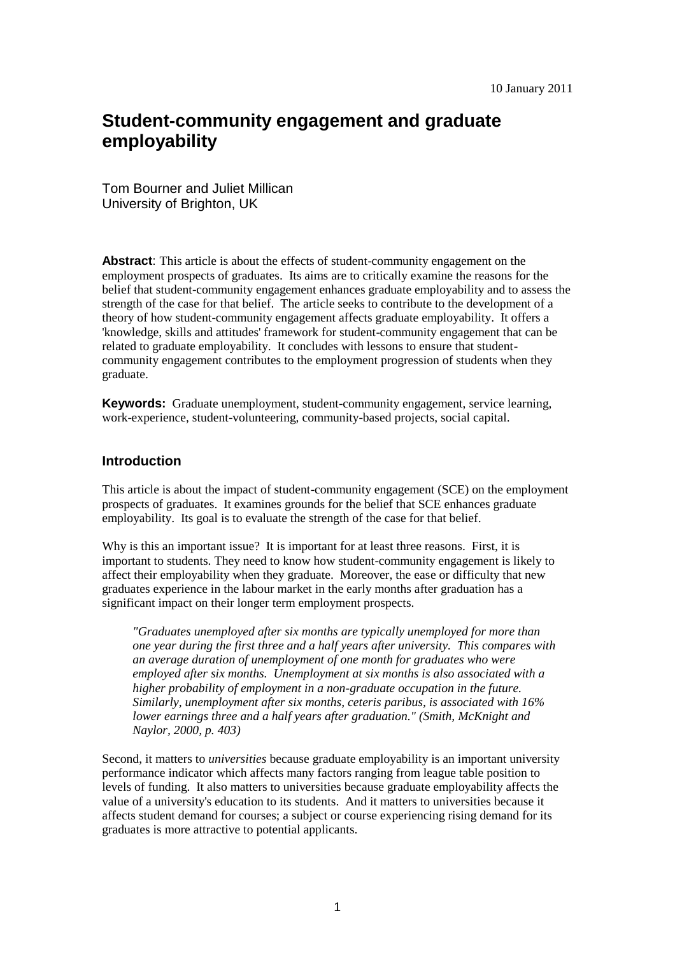# **Student-community engagement and graduate employability**

Tom Bourner and Juliet Millican University of Brighton, UK

**Abstract**: This article is about the effects of student-community engagement on the employment prospects of graduates. Its aims are to critically examine the reasons for the belief that student-community engagement enhances graduate employability and to assess the strength of the case for that belief. The article seeks to contribute to the development of a theory of how student-community engagement affects graduate employability. It offers a 'knowledge, skills and attitudes' framework for student-community engagement that can be related to graduate employability. It concludes with lessons to ensure that studentcommunity engagement contributes to the employment progression of students when they graduate.

**Keywords:** Graduate unemployment, student-community engagement, service learning, work-experience, student-volunteering, community-based projects, social capital.

#### **Introduction**

This article is about the impact of student-community engagement (SCE) on the employment prospects of graduates. It examines grounds for the belief that SCE enhances graduate employability. Its goal is to evaluate the strength of the case for that belief.

Why is this an important issue? It is important for at least three reasons. First, it is important to students. They need to know how student-community engagement is likely to affect their employability when they graduate. Moreover, the ease or difficulty that new graduates experience in the labour market in the early months after graduation has a significant impact on their longer term employment prospects.

*"Graduates unemployed after six months are typically unemployed for more than one year during the first three and a half years after university. This compares with an average duration of unemployment of one month for graduates who were employed after six months. Unemployment at six months is also associated with a higher probability of employment in a non-graduate occupation in the future. Similarly, unemployment after six months, ceteris paribus, is associated with 16% lower earnings three and a half years after graduation." (Smith, McKnight and Naylor, 2000, p. 403)*

Second, it matters to *universities* because graduate employability is an important university performance indicator which affects many factors ranging from league table position to levels of funding. It also matters to universities because graduate employability affects the value of a university's education to its students. And it matters to universities because it affects student demand for courses; a subject or course experiencing rising demand for its graduates is more attractive to potential applicants.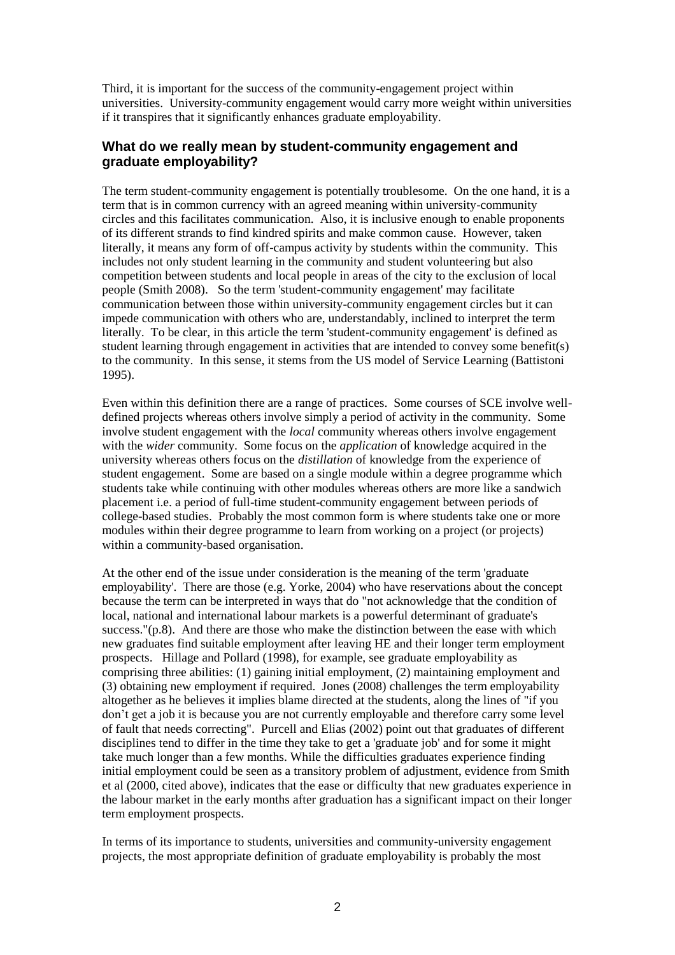Third, it is important for the success of the community-engagement project within universities. University-community engagement would carry more weight within universities if it transpires that it significantly enhances graduate employability.

# **What do we really mean by student-community engagement and graduate employability?**

The term student-community engagement is potentially troublesome. On the one hand, it is a term that is in common currency with an agreed meaning within university-community circles and this facilitates communication. Also, it is inclusive enough to enable proponents of its different strands to find kindred spirits and make common cause. However, taken literally, it means any form of off-campus activity by students within the community. This includes not only student learning in the community and student volunteering but also competition between students and local people in areas of the city to the exclusion of local people (Smith 2008). So the term 'student-community engagement' may facilitate communication between those within university-community engagement circles but it can impede communication with others who are, understandably, inclined to interpret the term literally. To be clear, in this article the term 'student-community engagement' is defined as student learning through engagement in activities that are intended to convey some benefit(s) to the community. In this sense, it stems from the US model of Service Learning (Battistoni 1995).

Even within this definition there are a range of practices. Some courses of SCE involve welldefined projects whereas others involve simply a period of activity in the community. Some involve student engagement with the *local* community whereas others involve engagement with the *wider* community. Some focus on the *application* of knowledge acquired in the university whereas others focus on the *distillation* of knowledge from the experience of student engagement. Some are based on a single module within a degree programme which students take while continuing with other modules whereas others are more like a sandwich placement i.e. a period of full-time student-community engagement between periods of college-based studies. Probably the most common form is where students take one or more modules within their degree programme to learn from working on a project (or projects) within a community-based organisation.

At the other end of the issue under consideration is the meaning of the term 'graduate employability'. There are those (e.g. Yorke, 2004) who have reservations about the concept because the term can be interpreted in ways that do "not acknowledge that the condition of local, national and international labour markets is a powerful determinant of graduate's success." $(p.8)$ . And there are those who make the distinction between the ease with which new graduates find suitable employment after leaving HE and their longer term employment prospects. Hillage and Pollard (1998), for example, see graduate employability as comprising three abilities: (1) gaining initial employment, (2) maintaining employment and (3) obtaining new employment if required. Jones (2008) challenges the term employability altogether as he believes it implies blame directed at the students, along the lines of "if you don't get a job it is because you are not currently employable and therefore carry some level of fault that needs correcting". Purcell and Elias (2002) point out that graduates of different disciplines tend to differ in the time they take to get a 'graduate job' and for some it might take much longer than a few months. While the difficulties graduates experience finding initial employment could be seen as a transitory problem of adjustment, evidence from Smith et al (2000, cited above), indicates that the ease or difficulty that new graduates experience in the labour market in the early months after graduation has a significant impact on their longer term employment prospects.

In terms of its importance to students, universities and community-university engagement projects, the most appropriate definition of graduate employability is probably the most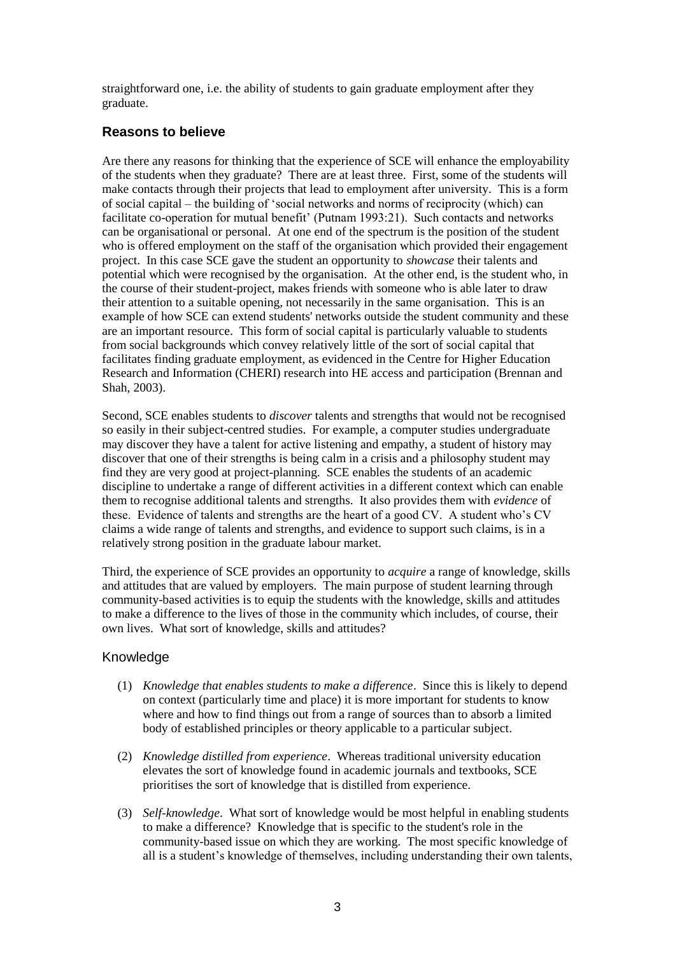straightforward one, i.e. the ability of students to gain graduate employment after they graduate.

# **Reasons to believe**

Are there any reasons for thinking that the experience of SCE will enhance the employability of the students when they graduate? There are at least three. First, some of the students will make contacts through their projects that lead to employment after university. This is a form of social capital – the building of 'social networks and norms of reciprocity (which) can facilitate co-operation for mutual benefit' (Putnam 1993:21). Such contacts and networks can be organisational or personal. At one end of the spectrum is the position of the student who is offered employment on the staff of the organisation which provided their engagement project. In this case SCE gave the student an opportunity to *showcase* their talents and potential which were recognised by the organisation. At the other end, is the student who, in the course of their student-project, makes friends with someone who is able later to draw their attention to a suitable opening, not necessarily in the same organisation. This is an example of how SCE can extend students' networks outside the student community and these are an important resource. This form of social capital is particularly valuable to students from social backgrounds which convey relatively little of the sort of social capital that facilitates finding graduate employment, as evidenced in the Centre for Higher Education Research and Information (CHERI) research into HE access and participation (Brennan and Shah, 2003).

Second, SCE enables students to *discover* talents and strengths that would not be recognised so easily in their subject-centred studies. For example, a computer studies undergraduate may discover they have a talent for active listening and empathy, a student of history may discover that one of their strengths is being calm in a crisis and a philosophy student may find they are very good at project-planning. SCE enables the students of an academic discipline to undertake a range of different activities in a different context which can enable them to recognise additional talents and strengths. It also provides them with *evidence* of these. Evidence of talents and strengths are the heart of a good CV. A student who's CV claims a wide range of talents and strengths, and evidence to support such claims, is in a relatively strong position in the graduate labour market.

Third, the experience of SCE provides an opportunity to *acquire* a range of knowledge, skills and attitudes that are valued by employers. The main purpose of student learning through community-based activities is to equip the students with the knowledge, skills and attitudes to make a difference to the lives of those in the community which includes, of course, their own lives. What sort of knowledge, skills and attitudes?

## Knowledge

- (1) *Knowledge that enables students to make a difference*. Since this is likely to depend on context (particularly time and place) it is more important for students to know where and how to find things out from a range of sources than to absorb a limited body of established principles or theory applicable to a particular subject.
- (2) *Knowledge distilled from experience*. Whereas traditional university education elevates the sort of knowledge found in academic journals and textbooks, SCE prioritises the sort of knowledge that is distilled from experience.
- (3) *Self-knowledge*. What sort of knowledge would be most helpful in enabling students to make a difference? Knowledge that is specific to the student's role in the community-based issue on which they are working. The most specific knowledge of all is a student's knowledge of themselves, including understanding their own talents,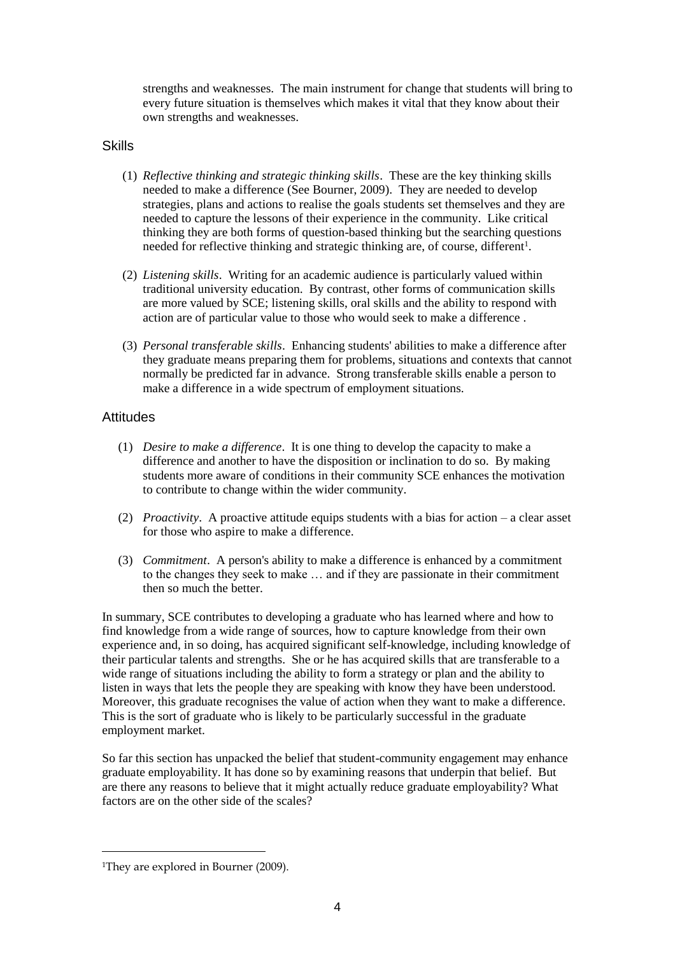strengths and weaknesses. The main instrument for change that students will bring to every future situation is themselves which makes it vital that they know about their own strengths and weaknesses.

#### **Skills**

- (1) *Reflective thinking and strategic thinking skills*. These are the key thinking skills needed to make a difference (See Bourner, 2009). They are needed to develop strategies, plans and actions to realise the goals students set themselves and they are needed to capture the lessons of their experience in the community. Like critical thinking they are both forms of question-based thinking but the searching questions needed for reflective thinking and strategic thinking are, of course, different<sup>1</sup>.
- (2) *Listening skills*. Writing for an academic audience is particularly valued within traditional university education. By contrast, other forms of communication skills are more valued by SCE; listening skills, oral skills and the ability to respond with action are of particular value to those who would seek to make a difference .
- (3) *Personal transferable skills*. Enhancing students' abilities to make a difference after they graduate means preparing them for problems, situations and contexts that cannot normally be predicted far in advance. Strong transferable skills enable a person to make a difference in a wide spectrum of employment situations.

## **Attitudes**

- (1) *Desire to make a difference*. It is one thing to develop the capacity to make a difference and another to have the disposition or inclination to do so. By making students more aware of conditions in their community SCE enhances the motivation to contribute to change within the wider community.
- (2) *Proactivity*. A proactive attitude equips students with a bias for action a clear asset for those who aspire to make a difference.
- (3) *Commitment*. A person's ability to make a difference is enhanced by a commitment to the changes they seek to make … and if they are passionate in their commitment then so much the better.

In summary, SCE contributes to developing a graduate who has learned where and how to find knowledge from a wide range of sources, how to capture knowledge from their own experience and, in so doing, has acquired significant self-knowledge, including knowledge of their particular talents and strengths. She or he has acquired skills that are transferable to a wide range of situations including the ability to form a strategy or plan and the ability to listen in ways that lets the people they are speaking with know they have been understood. Moreover, this graduate recognises the value of action when they want to make a difference. This is the sort of graduate who is likely to be particularly successful in the graduate employment market.

So far this section has unpacked the belief that student-community engagement may enhance graduate employability. It has done so by examining reasons that underpin that belief. But are there any reasons to believe that it might actually reduce graduate employability? What factors are on the other side of the scales?

 $\overline{a}$ 

<sup>1</sup>They are explored in Bourner (2009).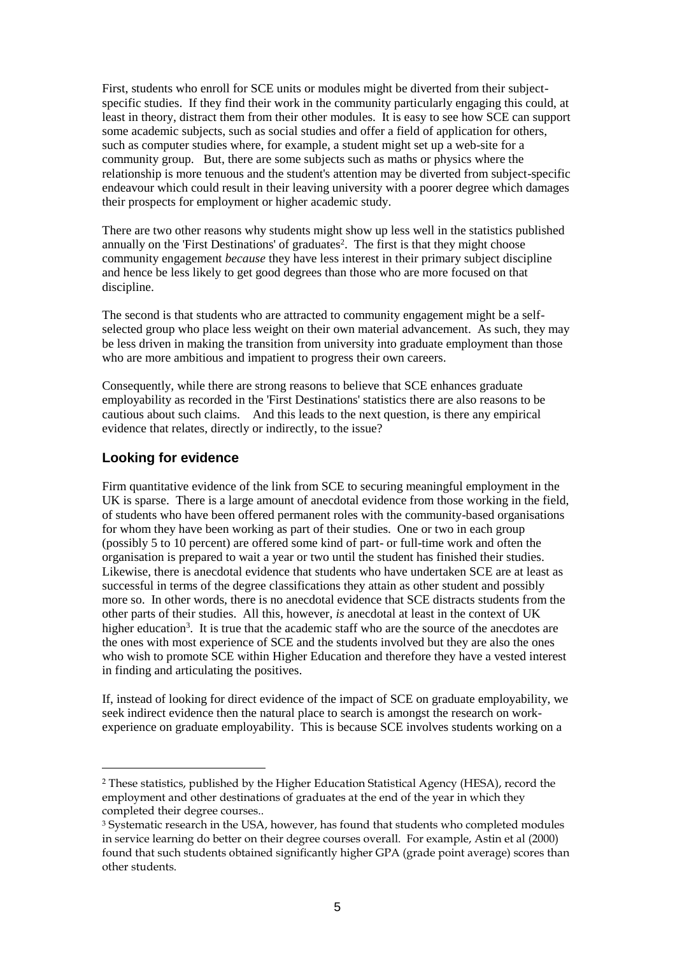First, students who enroll for SCE units or modules might be diverted from their subjectspecific studies. If they find their work in the community particularly engaging this could, at least in theory, distract them from their other modules. It is easy to see how SCE can support some academic subjects, such as social studies and offer a field of application for others, such as computer studies where, for example, a student might set up a web-site for a community group. But, there are some subjects such as maths or physics where the relationship is more tenuous and the student's attention may be diverted from subject-specific endeavour which could result in their leaving university with a poorer degree which damages their prospects for employment or higher academic study.

There are two other reasons why students might show up less well in the statistics published annually on the 'First Destinations' of graduates<sup>2</sup>. The first is that they might choose community engagement *because* they have less interest in their primary subject discipline and hence be less likely to get good degrees than those who are more focused on that discipline.

The second is that students who are attracted to community engagement might be a selfselected group who place less weight on their own material advancement. As such, they may be less driven in making the transition from university into graduate employment than those who are more ambitious and impatient to progress their own careers.

Consequently, while there are strong reasons to believe that SCE enhances graduate employability as recorded in the 'First Destinations' statistics there are also reasons to be cautious about such claims. And this leads to the next question, is there any empirical evidence that relates, directly or indirectly, to the issue?

## **Looking for evidence**

 $\overline{a}$ 

Firm quantitative evidence of the link from SCE to securing meaningful employment in the UK is sparse. There is a large amount of anecdotal evidence from those working in the field, of students who have been offered permanent roles with the community-based organisations for whom they have been working as part of their studies. One or two in each group (possibly 5 to 10 percent) are offered some kind of part- or full-time work and often the organisation is prepared to wait a year or two until the student has finished their studies. Likewise, there is anecdotal evidence that students who have undertaken SCE are at least as successful in terms of the degree classifications they attain as other student and possibly more so. In other words, there is no anecdotal evidence that SCE distracts students from the other parts of their studies. All this, however, *is* anecdotal at least in the context of UK higher education<sup>3</sup>. It is true that the academic staff who are the source of the anecdotes are the ones with most experience of SCE and the students involved but they are also the ones who wish to promote SCE within Higher Education and therefore they have a vested interest in finding and articulating the positives.

If, instead of looking for direct evidence of the impact of SCE on graduate employability, we seek indirect evidence then the natural place to search is amongst the research on workexperience on graduate employability. This is because SCE involves students working on a

<sup>2</sup> These statistics, published by the Higher Education Statistical Agency (HESA), record the employment and other destinations of graduates at the end of the year in which they completed their degree courses..

<sup>&</sup>lt;sup>3</sup> Systematic research in the USA, however, has found that students who completed modules in service learning do better on their degree courses overall. For example, Astin et al (2000) found that such students obtained significantly higher GPA (grade point average) scores than other students.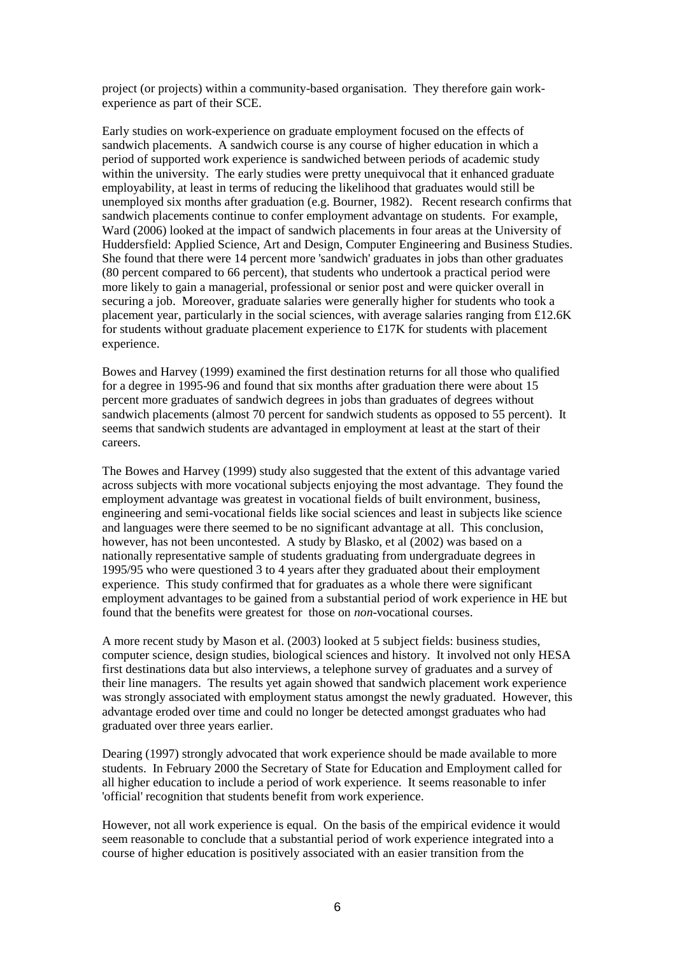project (or projects) within a community-based organisation. They therefore gain workexperience as part of their SCE.

Early studies on work-experience on graduate employment focused on the effects of sandwich placements. A sandwich course is any course of higher education in which a period of supported work experience is sandwiched between periods of academic study within the university. The early studies were pretty unequivocal that it enhanced graduate employability, at least in terms of reducing the likelihood that graduates would still be unemployed six months after graduation (e.g. Bourner, 1982). Recent research confirms that sandwich placements continue to confer employment advantage on students. For example, Ward (2006) looked at the impact of sandwich placements in four areas at the University of Huddersfield: Applied Science, Art and Design, Computer Engineering and Business Studies. She found that there were 14 percent more 'sandwich' graduates in jobs than other graduates (80 percent compared to 66 percent), that students who undertook a practical period were more likely to gain a managerial, professional or senior post and were quicker overall in securing a job. Moreover, graduate salaries were generally higher for students who took a placement year, particularly in the social sciences, with average salaries ranging from £12.6K for students without graduate placement experience to  $£17K$  for students with placement experience.

Bowes and Harvey (1999) examined the first destination returns for all those who qualified for a degree in 1995-96 and found that six months after graduation there were about 15 percent more graduates of sandwich degrees in jobs than graduates of degrees without sandwich placements (almost 70 percent for sandwich students as opposed to 55 percent). It seems that sandwich students are advantaged in employment at least at the start of their careers.

The Bowes and Harvey (1999) study also suggested that the extent of this advantage varied across subjects with more vocational subjects enjoying the most advantage. They found the employment advantage was greatest in vocational fields of built environment, business, engineering and semi-vocational fields like social sciences and least in subjects like science and languages were there seemed to be no significant advantage at all. This conclusion, however, has not been uncontested. A study by Blasko, et al (2002) was based on a nationally representative sample of students graduating from undergraduate degrees in 1995/95 who were questioned 3 to 4 years after they graduated about their employment experience. This study confirmed that for graduates as a whole there were significant employment advantages to be gained from a substantial period of work experience in HE but found that the benefits were greatest for those on *non*-vocational courses.

A more recent study by Mason et al. (2003) looked at 5 subject fields: business studies, computer science, design studies, biological sciences and history. It involved not only HESA first destinations data but also interviews, a telephone survey of graduates and a survey of their line managers. The results yet again showed that sandwich placement work experience was strongly associated with employment status amongst the newly graduated. However, this advantage eroded over time and could no longer be detected amongst graduates who had graduated over three years earlier.

Dearing (1997) strongly advocated that work experience should be made available to more students. In February 2000 the Secretary of State for Education and Employment called for all higher education to include a period of work experience. It seems reasonable to infer 'official' recognition that students benefit from work experience.

However, not all work experience is equal. On the basis of the empirical evidence it would seem reasonable to conclude that a substantial period of work experience integrated into a course of higher education is positively associated with an easier transition from the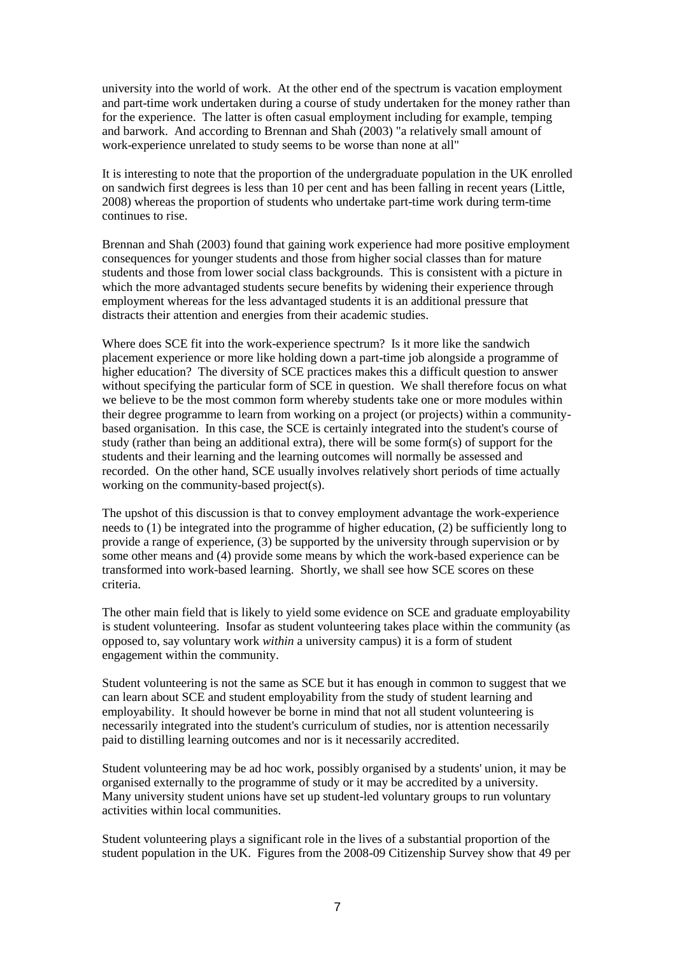university into the world of work. At the other end of the spectrum is vacation employment and part-time work undertaken during a course of study undertaken for the money rather than for the experience. The latter is often casual employment including for example, temping and barwork. And according to Brennan and Shah (2003) "a relatively small amount of work-experience unrelated to study seems to be worse than none at all"

It is interesting to note that the proportion of the undergraduate population in the UK enrolled on sandwich first degrees is less than 10 per cent and has been falling in recent years (Little, 2008) whereas the proportion of students who undertake part-time work during term-time continues to rise.

Brennan and Shah (2003) found that gaining work experience had more positive employment consequences for younger students and those from higher social classes than for mature students and those from lower social class backgrounds. This is consistent with a picture in which the more advantaged students secure benefits by widening their experience through employment whereas for the less advantaged students it is an additional pressure that distracts their attention and energies from their academic studies.

Where does SCE fit into the work-experience spectrum? Is it more like the sandwich placement experience or more like holding down a part-time job alongside a programme of higher education? The diversity of SCE practices makes this a difficult question to answer without specifying the particular form of SCE in question. We shall therefore focus on what we believe to be the most common form whereby students take one or more modules within their degree programme to learn from working on a project (or projects) within a communitybased organisation. In this case, the SCE is certainly integrated into the student's course of study (rather than being an additional extra), there will be some form(s) of support for the students and their learning and the learning outcomes will normally be assessed and recorded. On the other hand, SCE usually involves relatively short periods of time actually working on the community-based project(s).

The upshot of this discussion is that to convey employment advantage the work-experience needs to (1) be integrated into the programme of higher education, (2) be sufficiently long to provide a range of experience, (3) be supported by the university through supervision or by some other means and (4) provide some means by which the work-based experience can be transformed into work-based learning. Shortly, we shall see how SCE scores on these criteria.

The other main field that is likely to yield some evidence on SCE and graduate employability is student volunteering. Insofar as student volunteering takes place within the community (as opposed to, say voluntary work *within* a university campus) it is a form of student engagement within the community.

Student volunteering is not the same as SCE but it has enough in common to suggest that we can learn about SCE and student employability from the study of student learning and employability. It should however be borne in mind that not all student volunteering is necessarily integrated into the student's curriculum of studies, nor is attention necessarily paid to distilling learning outcomes and nor is it necessarily accredited.

Student volunteering may be ad hoc work, possibly organised by a students' union, it may be organised externally to the programme of study or it may be accredited by a university. Many university student unions have set up student-led voluntary groups to run voluntary activities within local communities.

Student volunteering plays a significant role in the lives of a substantial proportion of the student population in the UK. Figures from the 2008-09 Citizenship Survey show that 49 per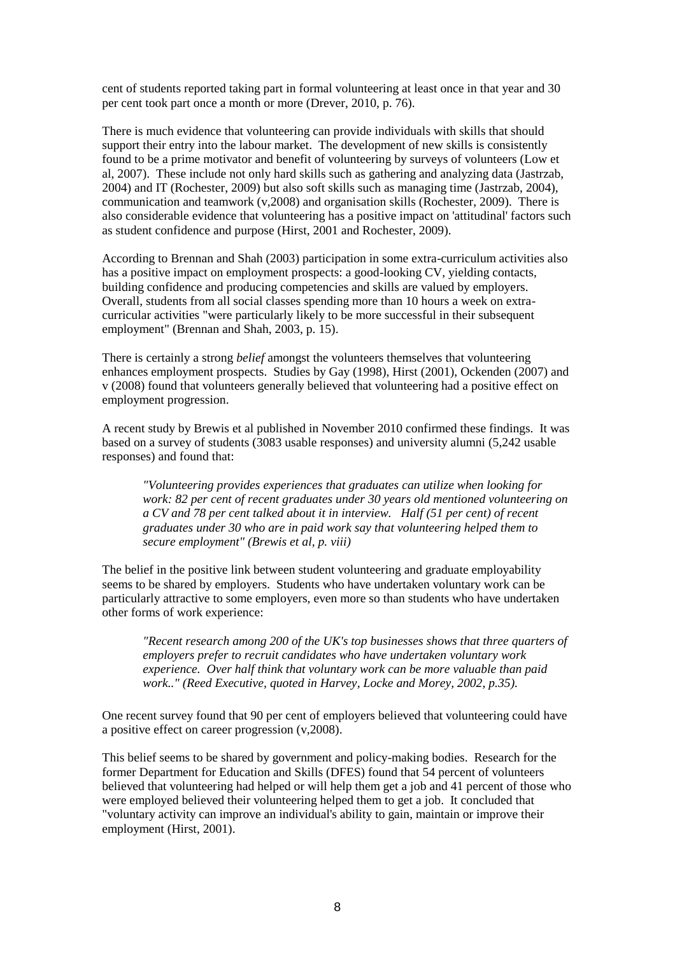cent of students reported taking part in formal volunteering at least once in that year and 30 per cent took part once a month or more (Drever, 2010, p. 76).

There is much evidence that volunteering can provide individuals with skills that should support their entry into the labour market. The development of new skills is consistently found to be a prime motivator and benefit of volunteering by surveys of volunteers (Low et al, 2007). These include not only hard skills such as gathering and analyzing data (Jastrzab, 2004) and IT (Rochester, 2009) but also soft skills such as managing time (Jastrzab, 2004), communication and teamwork (v,2008) and organisation skills (Rochester, 2009). There is also considerable evidence that volunteering has a positive impact on 'attitudinal' factors such as student confidence and purpose (Hirst, 2001 and Rochester, 2009).

According to Brennan and Shah (2003) participation in some extra-curriculum activities also has a positive impact on employment prospects: a good-looking CV, yielding contacts, building confidence and producing competencies and skills are valued by employers. Overall, students from all social classes spending more than 10 hours a week on extracurricular activities "were particularly likely to be more successful in their subsequent employment" (Brennan and Shah, 2003, p. 15).

There is certainly a strong *belief* amongst the volunteers themselves that volunteering enhances employment prospects. Studies by Gay (1998), Hirst (2001), Ockenden (2007) and v (2008) found that volunteers generally believed that volunteering had a positive effect on employment progression.

A recent study by Brewis et al published in November 2010 confirmed these findings. It was based on a survey of students (3083 usable responses) and university alumni (5,242 usable responses) and found that:

*"Volunteering provides experiences that graduates can utilize when looking for work: 82 per cent of recent graduates under 30 years old mentioned volunteering on a CV and 78 per cent talked about it in interview. Half (51 per cent) of recent graduates under 30 who are in paid work say that volunteering helped them to secure employment" (Brewis et al, p. viii)*

The belief in the positive link between student volunteering and graduate employability seems to be shared by employers. Students who have undertaken voluntary work can be particularly attractive to some employers, even more so than students who have undertaken other forms of work experience:

*"Recent research among 200 of the UK's top businesses shows that three quarters of employers prefer to recruit candidates who have undertaken voluntary work experience. Over half think that voluntary work can be more valuable than paid work.." (Reed Executive, quoted in Harvey, Locke and Morey, 2002, p.35).*

One recent survey found that 90 per cent of employers believed that volunteering could have a positive effect on career progression (v,2008).

This belief seems to be shared by government and policy-making bodies. Research for the former Department for Education and Skills (DFES) found that 54 percent of volunteers believed that volunteering had helped or will help them get a job and 41 percent of those who were employed believed their volunteering helped them to get a job. It concluded that "voluntary activity can improve an individual's ability to gain, maintain or improve their employment (Hirst, 2001).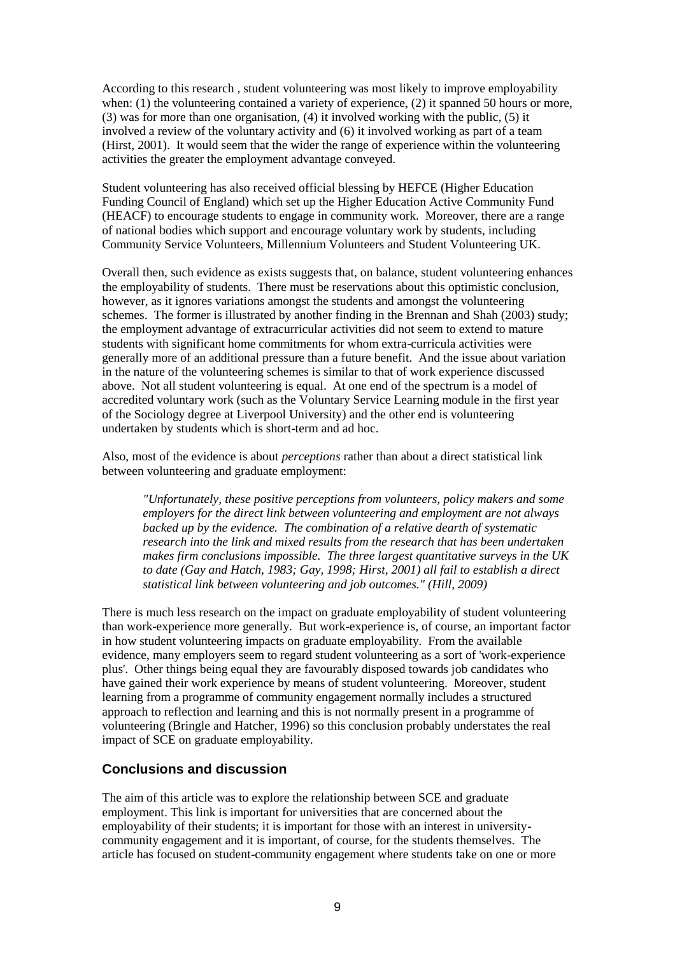According to this research , student volunteering was most likely to improve employability when: (1) the volunteering contained a variety of experience, (2) it spanned 50 hours or more, (3) was for more than one organisation, (4) it involved working with the public, (5) it involved a review of the voluntary activity and (6) it involved working as part of a team (Hirst, 2001). It would seem that the wider the range of experience within the volunteering activities the greater the employment advantage conveyed.

Student volunteering has also received official blessing by HEFCE (Higher Education Funding Council of England) which set up the Higher Education Active Community Fund (HEACF) to encourage students to engage in community work. Moreover, there are a range of national bodies which support and encourage voluntary work by students, including Community Service Volunteers, Millennium Volunteers and Student Volunteering UK.

Overall then, such evidence as exists suggests that, on balance, student volunteering enhances the employability of students. There must be reservations about this optimistic conclusion, however, as it ignores variations amongst the students and amongst the volunteering schemes. The former is illustrated by another finding in the Brennan and Shah (2003) study; the employment advantage of extracurricular activities did not seem to extend to mature students with significant home commitments for whom extra-curricula activities were generally more of an additional pressure than a future benefit. And the issue about variation in the nature of the volunteering schemes is similar to that of work experience discussed above. Not all student volunteering is equal. At one end of the spectrum is a model of accredited voluntary work (such as the Voluntary Service Learning module in the first year of the Sociology degree at Liverpool University) and the other end is volunteering undertaken by students which is short-term and ad hoc.

Also, most of the evidence is about *perceptions* rather than about a direct statistical link between volunteering and graduate employment:

*"Unfortunately, these positive perceptions from volunteers, policy makers and some employers for the direct link between volunteering and employment are not always backed up by the evidence. The combination of a relative dearth of systematic research into the link and mixed results from the research that has been undertaken makes firm conclusions impossible. The three largest quantitative surveys in the UK to date (Gay and Hatch, 1983; Gay, 1998; Hirst, 2001) all fail to establish a direct statistical link between volunteering and job outcomes." (Hill, 2009)*

There is much less research on the impact on graduate employability of student volunteering than work-experience more generally. But work-experience is, of course, an important factor in how student volunteering impacts on graduate employability. From the available evidence, many employers seem to regard student volunteering as a sort of 'work-experience plus'. Other things being equal they are favourably disposed towards job candidates who have gained their work experience by means of student volunteering. Moreover, student learning from a programme of community engagement normally includes a structured approach to reflection and learning and this is not normally present in a programme of volunteering (Bringle and Hatcher, 1996) so this conclusion probably understates the real impact of SCE on graduate employability.

## **Conclusions and discussion**

The aim of this article was to explore the relationship between SCE and graduate employment. This link is important for universities that are concerned about the employability of their students; it is important for those with an interest in universitycommunity engagement and it is important, of course, for the students themselves. The article has focused on student-community engagement where students take on one or more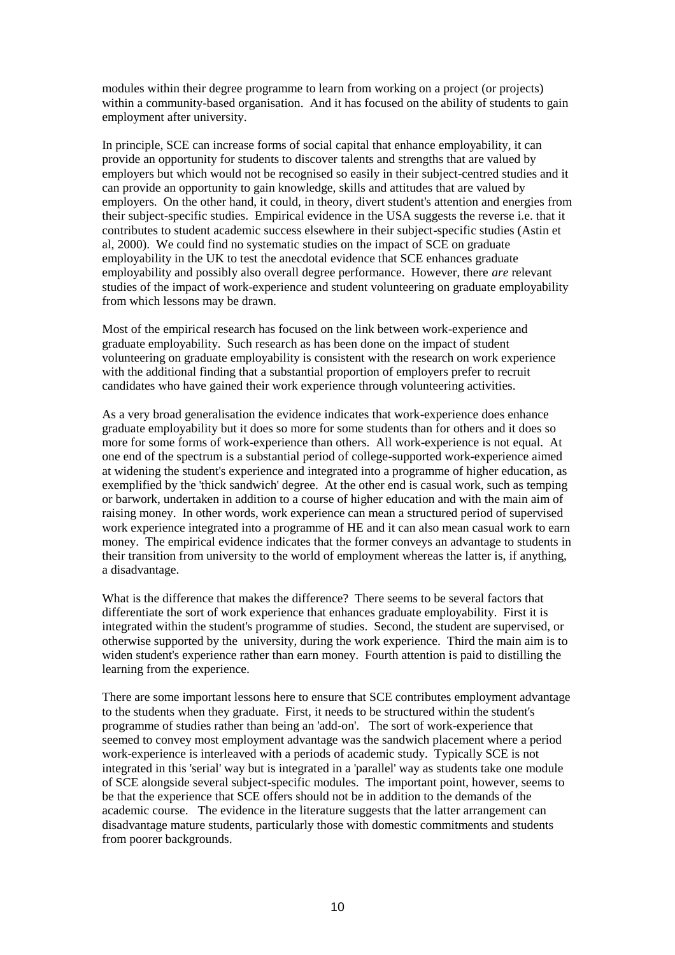modules within their degree programme to learn from working on a project (or projects) within a community-based organisation. And it has focused on the ability of students to gain employment after university.

In principle, SCE can increase forms of social capital that enhance employability, it can provide an opportunity for students to discover talents and strengths that are valued by employers but which would not be recognised so easily in their subject-centred studies and it can provide an opportunity to gain knowledge, skills and attitudes that are valued by employers. On the other hand, it could, in theory, divert student's attention and energies from their subject-specific studies. Empirical evidence in the USA suggests the reverse i.e. that it contributes to student academic success elsewhere in their subject-specific studies (Astin et al, 2000). We could find no systematic studies on the impact of SCE on graduate employability in the UK to test the anecdotal evidence that SCE enhances graduate employability and possibly also overall degree performance. However, there *are* relevant studies of the impact of work-experience and student volunteering on graduate employability from which lessons may be drawn.

Most of the empirical research has focused on the link between work-experience and graduate employability. Such research as has been done on the impact of student volunteering on graduate employability is consistent with the research on work experience with the additional finding that a substantial proportion of employers prefer to recruit candidates who have gained their work experience through volunteering activities.

As a very broad generalisation the evidence indicates that work-experience does enhance graduate employability but it does so more for some students than for others and it does so more for some forms of work-experience than others. All work-experience is not equal. At one end of the spectrum is a substantial period of college-supported work-experience aimed at widening the student's experience and integrated into a programme of higher education, as exemplified by the 'thick sandwich' degree. At the other end is casual work, such as temping or barwork, undertaken in addition to a course of higher education and with the main aim of raising money. In other words, work experience can mean a structured period of supervised work experience integrated into a programme of HE and it can also mean casual work to earn money. The empirical evidence indicates that the former conveys an advantage to students in their transition from university to the world of employment whereas the latter is, if anything, a disadvantage.

What is the difference that makes the difference? There seems to be several factors that differentiate the sort of work experience that enhances graduate employability. First it is integrated within the student's programme of studies. Second, the student are supervised, or otherwise supported by the university, during the work experience. Third the main aim is to widen student's experience rather than earn money. Fourth attention is paid to distilling the learning from the experience.

There are some important lessons here to ensure that SCE contributes employment advantage to the students when they graduate. First, it needs to be structured within the student's programme of studies rather than being an 'add-on'. The sort of work-experience that seemed to convey most employment advantage was the sandwich placement where a period work-experience is interleaved with a periods of academic study. Typically SCE is not integrated in this 'serial' way but is integrated in a 'parallel' way as students take one module of SCE alongside several subject-specific modules. The important point, however, seems to be that the experience that SCE offers should not be in addition to the demands of the academic course. The evidence in the literature suggests that the latter arrangement can disadvantage mature students, particularly those with domestic commitments and students from poorer backgrounds.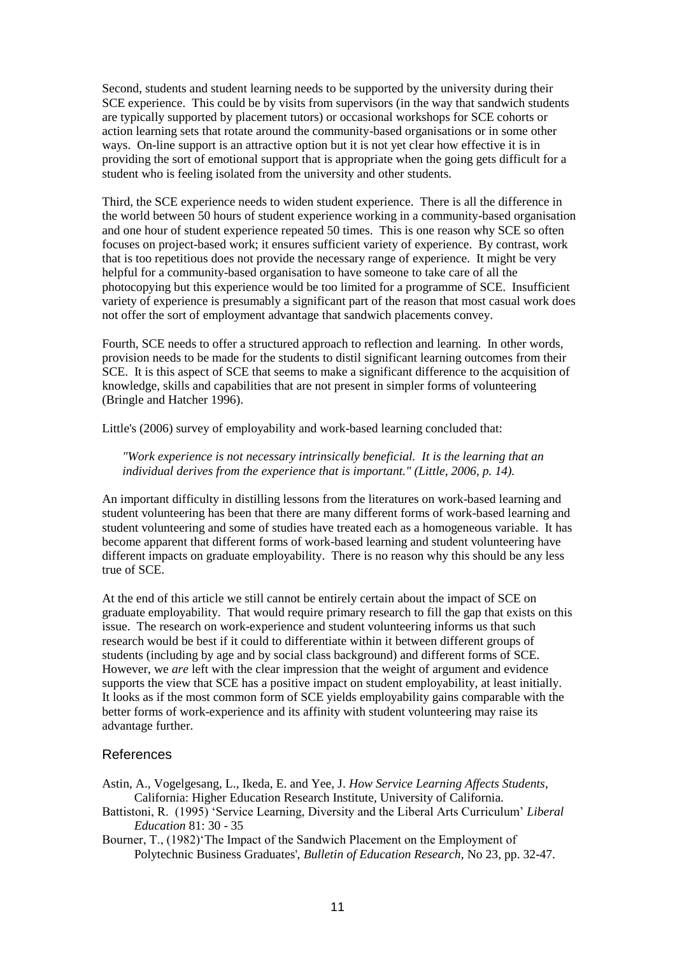Second, students and student learning needs to be supported by the university during their SCE experience. This could be by visits from supervisors (in the way that sandwich students are typically supported by placement tutors) or occasional workshops for SCE cohorts or action learning sets that rotate around the community-based organisations or in some other ways. On-line support is an attractive option but it is not yet clear how effective it is in providing the sort of emotional support that is appropriate when the going gets difficult for a student who is feeling isolated from the university and other students.

Third, the SCE experience needs to widen student experience. There is all the difference in the world between 50 hours of student experience working in a community-based organisation and one hour of student experience repeated 50 times. This is one reason why SCE so often focuses on project-based work; it ensures sufficient variety of experience. By contrast, work that is too repetitious does not provide the necessary range of experience. It might be very helpful for a community-based organisation to have someone to take care of all the photocopying but this experience would be too limited for a programme of SCE. Insufficient variety of experience is presumably a significant part of the reason that most casual work does not offer the sort of employment advantage that sandwich placements convey.

Fourth, SCE needs to offer a structured approach to reflection and learning. In other words, provision needs to be made for the students to distil significant learning outcomes from their SCE. It is this aspect of SCE that seems to make a significant difference to the acquisition of knowledge, skills and capabilities that are not present in simpler forms of volunteering (Bringle and Hatcher 1996).

Little's (2006) survey of employability and work-based learning concluded that:

#### *"Work experience is not necessary intrinsically beneficial. It is the learning that an individual derives from the experience that is important." (Little, 2006, p. 14).*

An important difficulty in distilling lessons from the literatures on work-based learning and student volunteering has been that there are many different forms of work-based learning and student volunteering and some of studies have treated each as a homogeneous variable. It has become apparent that different forms of work-based learning and student volunteering have different impacts on graduate employability. There is no reason why this should be any less true of SCE.

At the end of this article we still cannot be entirely certain about the impact of SCE on graduate employability. That would require primary research to fill the gap that exists on this issue. The research on work-experience and student volunteering informs us that such research would be best if it could to differentiate within it between different groups of students (including by age and by social class background) and different forms of SCE. However, we *are* left with the clear impression that the weight of argument and evidence supports the view that SCE has a positive impact on student employability, at least initially. It looks as if the most common form of SCE yields employability gains comparable with the better forms of work-experience and its affinity with student volunteering may raise its advantage further.

#### References

Astin, A., Vogelgesang, L., Ikeda, E. and Yee, J. *How Service Learning Affects Students*, California: Higher Education Research Institute, University of California.

- Battistoni, R. (1995) 'Service Learning, Diversity and the Liberal Arts Curriculum' *Liberal Education* 81: 30 - 35
- Bourner, T., (1982)'The Impact of the Sandwich Placement on the Employment of Polytechnic Business Graduates', *Bulletin of Education Research*, No 23, pp. 32-47.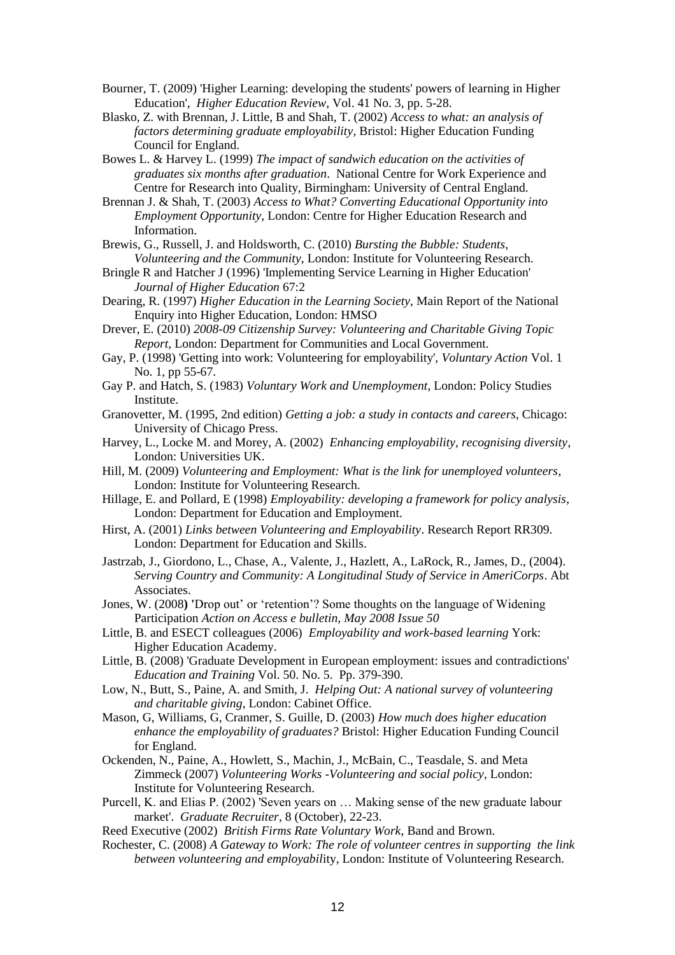- Bourner, T. (2009) 'Higher Learning: developing the students' powers of learning in Higher Education', *Higher Education Review*, Vol. 41 No. 3, pp. 5-28.
- Blasko, Z. with Brennan, J. Little, B and Shah, T. (2002) *Access to what: an analysis of factors determining graduate employability*, Bristol: Higher Education Funding Council for England.
- Bowes L. & Harvey L. (1999) *The impact of sandwich education on the activities of graduates six months after graduation*. National Centre for Work Experience and Centre for Research into Quality, Birmingham: University of Central England.
- Brennan J. & Shah, T. (2003) *Access to What? Converting Educational Opportunity into Employment Opportunity,* London: Centre for Higher Education Research and Information.
- Brewis, G., Russell, J. and Holdsworth, C. (2010) *Bursting the Bubble: Students, Volunteering and the Community*, London: Institute for Volunteering Research.
- Bringle R and Hatcher J (1996) 'Implementing Service Learning in Higher Education' *Journal of Higher Education* 67:2
- Dearing, R. (1997) *Higher Education in the Learning Society*, Main Report of the National Enquiry into Higher Education, London: HMSO
- Drever, E. (2010) *2008-09 Citizenship Survey: Volunteering and Charitable Giving Topic Report*, London: Department for Communities and Local Government.
- Gay, P. (1998) 'Getting into work: Volunteering for employability', *Voluntary Action* Vol. 1 No. 1, pp 55-67.
- Gay P. and Hatch, S. (1983) *Voluntary Work and Unemployment*, London: Policy Studies Institute.
- Granovetter, M. (1995, 2nd edition) *Getting a job: a study in contacts and careers*, Chicago: University of Chicago Press.
- Harvey, L., Locke M. and Morey, A. (2002) *Enhancing employability, recognising diversity*, London: Universities UK.
- Hill, M. (2009) *Volunteering and Employment: What is the link for unemployed volunteers*, London: Institute for Volunteering Research.
- Hillage, E. and Pollard, E (1998) *Employability: developing a framework for policy analysis*, London: Department for Education and Employment.
- Hirst, A. (2001) *Links between Volunteering and Employability*. Research Report RR309. London: Department for Education and Skills.
- Jastrzab, J., Giordono, L., Chase, A., Valente, J., Hazlett, A., LaRock, R., James, D., (2004). *Serving Country and Community: A Longitudinal Study of Service in AmeriCorps*. Abt Associates.
- Jones, W. (2008**) '**Drop out' or 'retention'? Some thoughts on the language of Widening Participation *Action on Access e bulletin, May 2008 Issue 50*
- Little, B. and ESECT colleagues (2006) *Employability and work-based learning* York: Higher Education Academy.
- Little, B. (2008) 'Graduate Development in European employment: issues and contradictions' *Education and Training* Vol. 50. No. 5. Pp. 379-390.
- Low, N., Butt, S., Paine, A. and Smith, J. *Helping Out: A national survey of volunteering and charitable giving*, London: Cabinet Office.
- Mason, G, Williams, G, Cranmer, S. Guille, D. (2003) *How much does higher education enhance the employability of graduates?* Bristol: Higher Education Funding Council for England.
- Ockenden, N., Paine, A., Howlett, S., Machin, J., McBain, C., Teasdale, S. and Meta Zimmeck (2007) *Volunteering Works -Volunteering and social policy*, London: Institute for Volunteering Research.
- Purcell, K. and Elias P. (2002) 'Seven years on … Making sense of the new graduate labour market'. *Graduate Recruiter*, 8 (October), 22-23.
- Reed Executive (2002) *British Firms Rate Voluntary Work*, Band and Brown.
- Rochester, C. (2008) *A Gateway to Work: The role of volunteer centres in supporting the link between volunteering and employabil*ity, London: Institute of Volunteering Research.